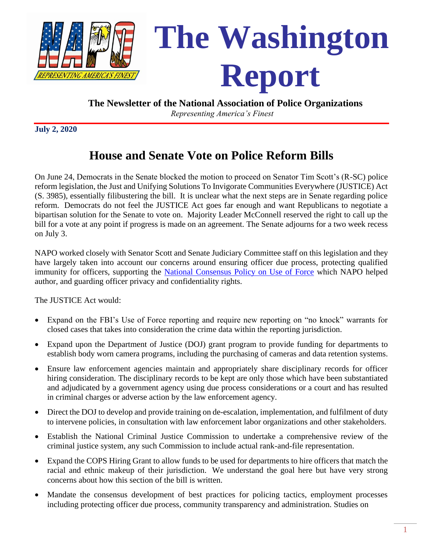

#### **The Newsletter of the National Association of Police Organizations**

*Representing America's Finest*

**July 2, 2020**

# **House and Senate Vote on Police Reform Bills**

On June 24, Democrats in the Senate blocked the motion to proceed on Senator Tim Scott's (R-SC) police reform legislation, the Just and Unifying Solutions To Invigorate Communities Everywhere (JUSTICE) Act (S. 3985), essentially filibustering the bill. It is unclear what the next steps are in Senate regarding police reform. Democrats do not feel the JUSTICE Act goes far enough and want Republicans to negotiate a bipartisan solution for the Senate to vote on. Majority Leader McConnell reserved the right to call up the bill for a vote at any point if progress is made on an agreement. The Senate adjourns for a two week recess on July 3.

NAPO worked closely with Senator Scott and Senate Judiciary Committee staff on this legislation and they have largely taken into account our concerns around ensuring officer due process, protecting qualified immunity for officers, supporting the [National Consensus Policy on Use of Force](https://www.theiacp.org/sites/default/files/all/n-o/National_Consensus_Policy_On_Use_Of_Force.pdf) which NAPO helped author, and guarding officer privacy and confidentiality rights.

The JUSTICE Act would:

- Expand on the FBI's Use of Force reporting and require new reporting on "no knock" warrants for closed cases that takes into consideration the crime data within the reporting jurisdiction.
- Expand upon the Department of Justice (DOJ) grant program to provide funding for departments to establish body worn camera programs, including the purchasing of cameras and data retention systems.
- Ensure law enforcement agencies maintain and appropriately share disciplinary records for officer hiring consideration. The disciplinary records to be kept are only those which have been substantiated and adjudicated by a government agency using due process considerations or a court and has resulted in criminal charges or adverse action by the law enforcement agency.
- Direct the DOJ to develop and provide training on de-escalation, implementation, and fulfilment of duty to intervene policies, in consultation with law enforcement labor organizations and other stakeholders.
- Establish the National Criminal Justice Commission to undertake a comprehensive review of the criminal justice system, any such Commission to include actual rank-and-file representation.
- Expand the COPS Hiring Grant to allow funds to be used for departments to hire officers that match the racial and ethnic makeup of their jurisdiction. We understand the goal here but have very strong concerns about how this section of the bill is written.
- Mandate the consensus development of best practices for policing tactics, employment processes including protecting officer due process, community transparency and administration. Studies on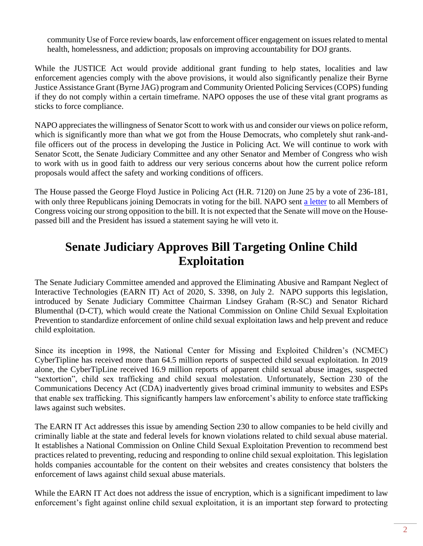community Use of Force review boards, law enforcement officer engagement on issues related to mental health, homelessness, and addiction; proposals on improving accountability for DOJ grants.

While the JUSTICE Act would provide additional grant funding to help states, localities and law enforcement agencies comply with the above provisions, it would also significantly penalize their Byrne Justice Assistance Grant (Byrne JAG) program and Community Oriented Policing Services (COPS) funding if they do not comply within a certain timeframe. NAPO opposes the use of these vital grant programs as sticks to force compliance.

NAPO appreciates the willingness of Senator Scott to work with us and consider our views on police reform, which is significantly more than what we got from the House Democrats, who completely shut rank-andfile officers out of the process in developing the Justice in Policing Act. We will continue to work with Senator Scott, the Senate Judiciary Committee and any other Senator and Member of Congress who wish to work with us in good faith to address our very serious concerns about how the current police reform proposals would affect the safety and working conditions of officers.

The House passed the George Floyd Justice in Policing Act (H.R. 7120) on June 25 by a vote of 236-181, with only three Republicans joining Democrats in voting for the bill. NAPO sent [a letter](file://///napo-2k12/Share/AEdmiston/116th%20Congress/Judiciary/Police%20Reform/NAPO%20Opposition%20Letter_Justice%20in%20Policing%20Act_MOC.pdf) to all Members of Congress voicing our strong opposition to the bill. It is not expected that the Senate will move on the Housepassed bill and the President has issued a statement saying he will veto it.

## **Senate Judiciary Approves Bill Targeting Online Child Exploitation**

The Senate Judiciary Committee amended and approved the Eliminating Abusive and Rampant Neglect of Interactive Technologies (EARN IT) Act of 2020, S. 3398, on July 2. NAPO supports this legislation, introduced by Senate Judiciary Committee Chairman Lindsey Graham (R-SC) and Senator Richard Blumenthal (D-CT), which would create the National Commission on Online Child Sexual Exploitation Prevention to standardize enforcement of online child sexual exploitation laws and help prevent and reduce child exploitation.

Since its inception in 1998, the National Center for Missing and Exploited Children's (NCMEC) CyberTipline has received more than 64.5 million reports of suspected child sexual exploitation. In 2019 alone, the CyberTipLine received 16.9 million reports of apparent child sexual abuse images, suspected "sextortion", child sex trafficking and child sexual molestation. Unfortunately, Section 230 of the Communications Decency Act (CDA) inadvertently gives broad criminal immunity to websites and ESPs that enable sex trafficking. This significantly hampers law enforcement's ability to enforce state trafficking laws against such websites.

The EARN IT Act addresses this issue by amending Section 230 to allow companies to be held civilly and criminally liable at the state and federal levels for known violations related to child sexual abuse material. It establishes a National Commission on Online Child Sexual Exploitation Prevention to recommend best practices related to preventing, reducing and responding to online child sexual exploitation. This legislation holds companies accountable for the content on their websites and creates consistency that bolsters the enforcement of laws against child sexual abuse materials.

While the EARN IT Act does not address the issue of encryption, which is a significant impediment to law enforcement's fight against online child sexual exploitation, it is an important step forward to protecting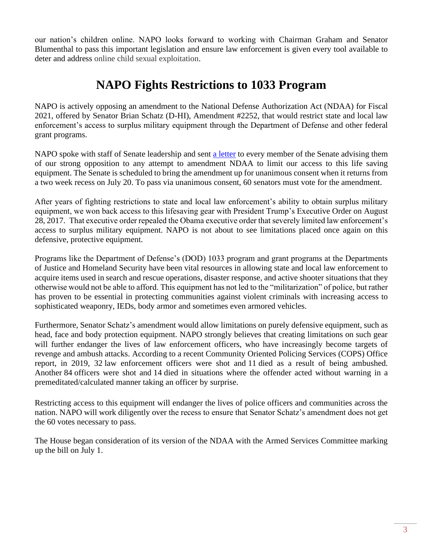our nation's children online. NAPO looks forward to working with Chairman Graham and Senator Blumenthal to pass this important legislation and ensure law enforcement is given every tool available to deter and address online child sexual exploitation.

## **NAPO Fights Restrictions to 1033 Program**

NAPO is actively opposing an amendment to the National Defense Authorization Act (NDAA) for Fiscal 2021, offered by Senator Brian Schatz (D-HI), Amendment #2252, that would restrict state and local law enforcement's access to surplus military equipment through the Department of Defense and other federal grant programs.

NAPO spoke with staff of Senate leadership and sent [a letter](NAPO%20Ltr_Oppose%201033%20Amdt%20NDAA.pdf) to every member of the Senate advising them of our strong opposition to any attempt to amendment NDAA to limit our access to this life saving equipment. The Senate is scheduled to bring the amendment up for unanimous consent when it returns from a two week recess on July 20. To pass via unanimous consent, 60 senators must vote for the amendment.

After years of fighting restrictions to state and local law enforcement's ability to obtain surplus military equipment, we won back access to this lifesaving gear with President Trump's Executive Order on August 28, 2017. That executive order repealed the Obama executive order that severely limited law enforcement's access to surplus military equipment. NAPO is not about to see limitations placed once again on this defensive, protective equipment.

Programs like the Department of Defense's (DOD) 1033 program and grant programs at the Departments of Justice and Homeland Security have been vital resources in allowing state and local law enforcement to acquire items used in search and rescue operations, disaster response, and active shooter situations that they otherwise would not be able to afford. This equipment has not led to the "militarization" of police, but rather has proven to be essential in protecting communities against violent criminals with increasing access to sophisticated weaponry, IEDs, body armor and sometimes even armored vehicles.

Furthermore, Senator Schatz's amendment would allow limitations on purely defensive equipment, such as head, face and body protection equipment. NAPO strongly believes that creating limitations on such gear will further endanger the lives of law enforcement officers, who have increasingly become targets of revenge and ambush attacks. According to a recent Community Oriented Policing Services (COPS) Office report, in 2019, 32 law enforcement officers were shot and 11 died as a result of being ambushed. Another 84 officers were shot and 14 died in situations where the offender acted without warning in a premeditated/calculated manner taking an officer by surprise.

Restricting access to this equipment will endanger the lives of police officers and communities across the nation. NAPO will work diligently over the recess to ensure that Senator Schatz's amendment does not get the 60 votes necessary to pass.

The House began consideration of its version of the NDAA with the Armed Services Committee marking up the bill on July 1.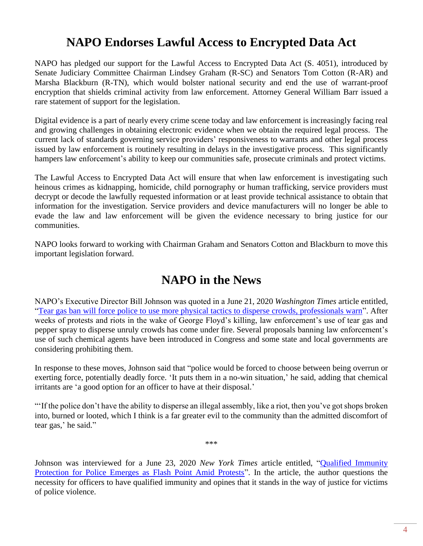### **NAPO Endorses Lawful Access to Encrypted Data Act**

NAPO has pledged our support for the Lawful Access to Encrypted Data Act (S. 4051), introduced by Senate Judiciary Committee Chairman Lindsey Graham (R-SC) and Senators Tom Cotton (R-AR) and Marsha Blackburn (R-TN), which would bolster national security and end the use of warrant-proof encryption that shields criminal activity from law enforcement. Attorney General William Barr issued a rare statement of support for the legislation.

Digital evidence is a part of nearly every crime scene today and law enforcement is increasingly facing real and growing challenges in obtaining electronic evidence when we obtain the required legal process. The current lack of standards governing service providers' responsiveness to warrants and other legal process issued by law enforcement is routinely resulting in delays in the investigative process. This significantly hampers law enforcement's ability to keep our communities safe, prosecute criminals and protect victims.

The Lawful Access to Encrypted Data Act will ensure that when law enforcement is investigating such heinous crimes as kidnapping, homicide, child pornography or human trafficking, service providers must decrypt or decode the lawfully requested information or at least provide technical assistance to obtain that information for the investigation. Service providers and device manufacturers will no longer be able to evade the law and law enforcement will be given the evidence necessary to bring justice for our communities.

NAPO looks forward to working with Chairman Graham and Senators Cotton and Blackburn to move this important legislation forward.

#### **NAPO in the News**

NAPO's Executive Director Bill Johnson was quoted in a June 21, 2020 *Washington Times* article entitled, ["Tear gas ban will force police to use more physical tactics to disperse crowds, professionals warn"](https://www.washingtontimes.com/news/2020/jun/21/tear-gas-ban-lead-physical-tactics-disperse-crowds/). After weeks of protests and riots in the wake of George Floyd's killing, law enforcement's use of tear gas and pepper spray to disperse unruly crowds has come under fire. Several proposals banning law enforcement's use of such chemical agents have been introduced in Congress and some state and local governments are considering prohibiting them.

In response to these moves, Johnson said that "police would be forced to choose between being overrun or exerting force, potentially deadly force. 'It puts them in a no-win situation,' he said, adding that chemical irritants are 'a good option for an officer to have at their disposal.'

"If the police don't have the ability to disperse an illegal assembly, like a riot, then you've got shops broken into, burned or looted, which I think is a far greater evil to the community than the admitted discomfort of tear gas,' he said."

\*\*\*

Johnson was interviewed for a June 23, 2020 *New York Times* article entitled, ["Qualified Immunity](https://www.nytimes.com/2020/06/23/us/politics/qualified-immunity.html)  [Protection for Police Emerges as Flash Point Amid Protests"](https://www.nytimes.com/2020/06/23/us/politics/qualified-immunity.html). In the article, the author questions the necessity for officers to have qualified immunity and opines that it stands in the way of justice for victims of police violence.